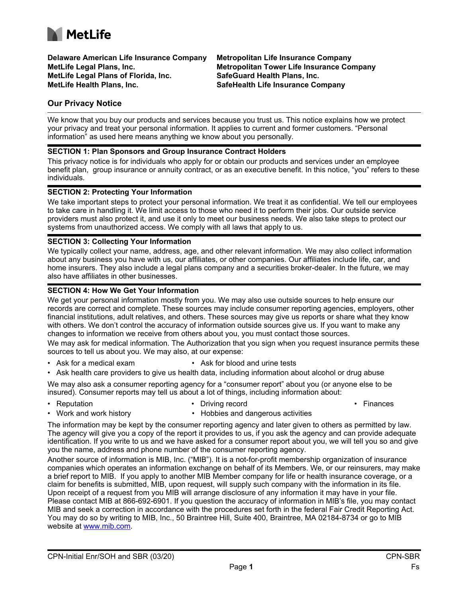

**Delaware American Life Insurance Company MetLife Legal Plans, Inc. MetLife Legal Plans of Florida, Inc. MetLife Health Plans, Inc.** 

**Metropolitan Life Insurance Company Metropolitan Tower Life Insurance Company SafeGuard Health Plans, Inc. SafeHealth Life Insurance Company**

## **Our Privacy Notice**

We know that you buy our products and services because you trust us. This notice explains how we protect your privacy and treat your personal information. It applies to current and former customers. "Personal information" as used here means anything we know about you personally.

#### **SECTION 1: Plan Sponsors and Group Insurance Contract Holders**

This privacy notice is for individuals who apply for or obtain our products and services under an employee benefit plan, group insurance or annuity contract, or as an executive benefit. In this notice, "you" refers to these individuals.

#### **SECTION 2: Protecting Your Information**

We take important steps to protect your personal information. We treat it as confidential. We tell our employees to take care in handling it. We limit access to those who need it to perform their jobs. Our outside service providers must also protect it, and use it only to meet our business needs. We also take steps to protect our systems from unauthorized access. We comply with all laws that apply to us.

#### **SECTION 3: Collecting Your Information**

We typically collect your name, address, age, and other relevant information. We may also collect information about any business you have with us, our affiliates, or other companies. Our affiliates include life, car, and home insurers. They also include a legal plans company and a securities broker-dealer. In the future, we may also have affiliates in other businesses.

#### **SECTION 4: How We Get Your Information**

We get your personal information mostly from you. We may also use outside sources to help ensure our records are correct and complete. These sources may include consumer reporting agencies, employers, other financial institutions, adult relatives, and others. These sources may give us reports or share what they know with others. We don't control the accuracy of information outside sources give us. If you want to make any changes to information we receive from others about you, you must contact those sources.

We may ask for medical information. The Authorization that you sign when you request insurance permits these sources to tell us about you. We may also, at our expense:

- Ask for a medical exam Ask for blood and urine tests
- Ask health care providers to give us health data, including information about alcohol or drug abuse

We may also ask a consumer reporting agency for a "consumer report" about you (or anyone else to be insured). Consumer reports may tell us about a lot of things, including information about:

- 
- Reputation **Driving record Primarces Finances** 
	-
- Work and work history  **Hobbies and dangerous activities** 
	-

The information may be kept by the consumer reporting agency and later given to others as permitted by law. The agency will give you a copy of the report it provides to us, if you ask the agency and can provide adequate identification. If you write to us and we have asked for a consumer report about you, we will tell you so and give you the name, address and phone number of the consumer reporting agency.

Another source of information is MIB, Inc. ("MIB"). It is a not-for-profit membership organization of insurance companies which operates an information exchange on behalf of its Members. We, or our reinsurers, may make a brief report to MIB. If you apply to another MIB Member company for life or health insurance coverage, or a claim for benefits is submitted, MIB, upon request, will supply such company with the information in its file. Upon receipt of a request from you MIB will arrange disclosure of any information it may have in your file. Please contact MIB at 866-692-6901. If you question the accuracy of information in MIB's file, you may contact MIB and seek a correction in accordance with the procedures set forth in the federal Fair Credit Reporting Act. You may do so by writing to MIB, Inc., 50 Braintree Hill, Suite 400, Braintree, MA 02184-8734 or go to MIB website at [www.mib.com](http://www.mib.com).